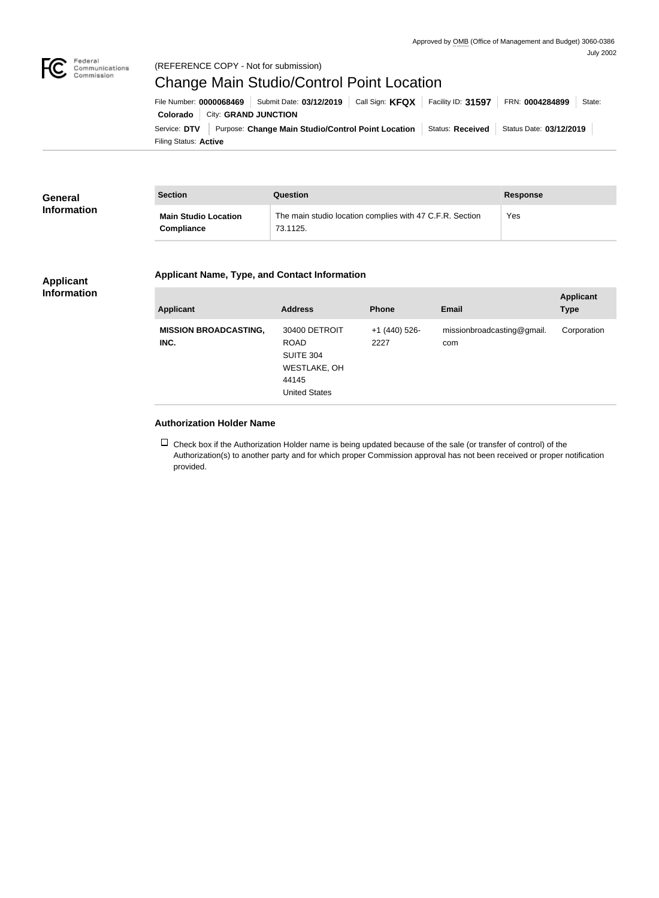

## Federal<br>Communications<br>Commission (REFERENCE COPY - Not for submission)

# Change Main Studio/Control Point Location

Filing Status: **Active** Service: DTV Purpose: Change Main Studio/Control Point Location Status: Received Status Date: 03/12/2019 **Colorado** City: **GRAND JUNCTION** File Number: **0000068469** Submit Date: 03/12/2019 Call Sign: KFQX Facility ID: 31597 FRN: 0004284899 State:

| General            | <b>Section</b>                                   | Question                                                             | <b>Response</b> |
|--------------------|--------------------------------------------------|----------------------------------------------------------------------|-----------------|
| <b>Information</b> | <b>Main Studio Location</b><br><b>Compliance</b> | The main studio location complies with 47 C.F.R. Section<br>73.1125. | Yes             |

# **Applicant Name, Type, and Contact Information**

#### **Applicant Information**

| <b>Applicant</b>                     | <b>Address</b>                                                                                           | <b>Phone</b>          | <b>Email</b>                      | <b>Applicant</b><br><b>Type</b> |
|--------------------------------------|----------------------------------------------------------------------------------------------------------|-----------------------|-----------------------------------|---------------------------------|
| <b>MISSION BROADCASTING,</b><br>INC. | 30400 DETROIT<br><b>ROAD</b><br><b>SUITE 304</b><br><b>WESTLAKE, OH</b><br>44145<br><b>United States</b> | +1 (440) 526-<br>2227 | missionbroadcasting@gmail.<br>com | Corporation                     |

## **Authorization Holder Name**

 $\Box$  Check box if the Authorization Holder name is being updated because of the sale (or transfer of control) of the Authorization(s) to another party and for which proper Commission approval has not been received or proper notification provided.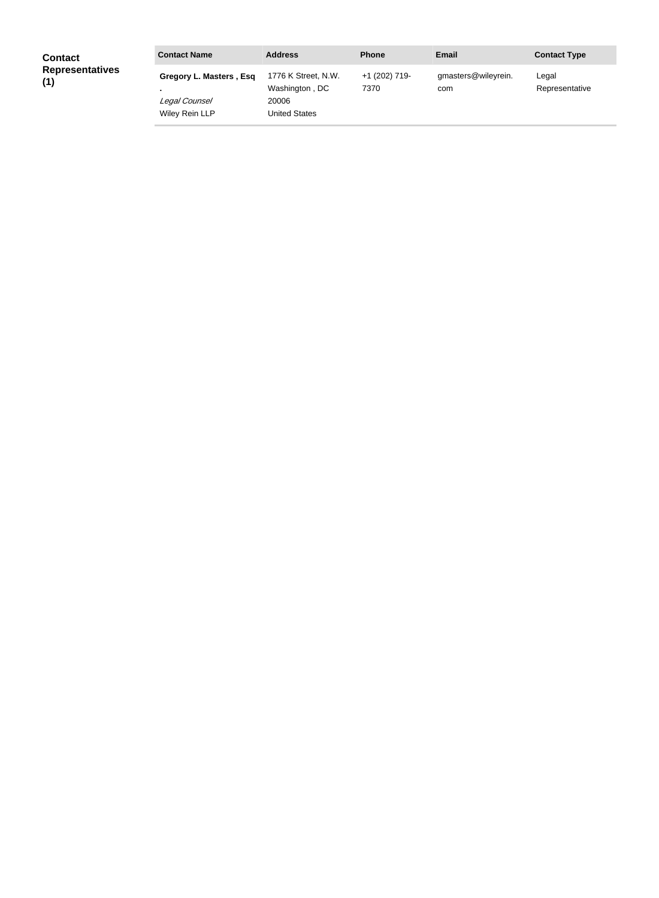| <b>Contact</b><br><b>Representatives</b><br>(1) | <b>Contact Name</b>                                        | <b>Address</b>                                                  | <b>Phone</b>          | <b>Email</b>               | <b>Contact Type</b>     |
|-------------------------------------------------|------------------------------------------------------------|-----------------------------------------------------------------|-----------------------|----------------------------|-------------------------|
|                                                 | Gregory L. Masters, Esq<br>Legal Counsel<br>Wiley Rein LLP | 1776 K Street, N.W.<br>Washington, DC<br>20006<br>United States | +1 (202) 719-<br>7370 | gmasters@wileyrein.<br>com | Legal<br>Representative |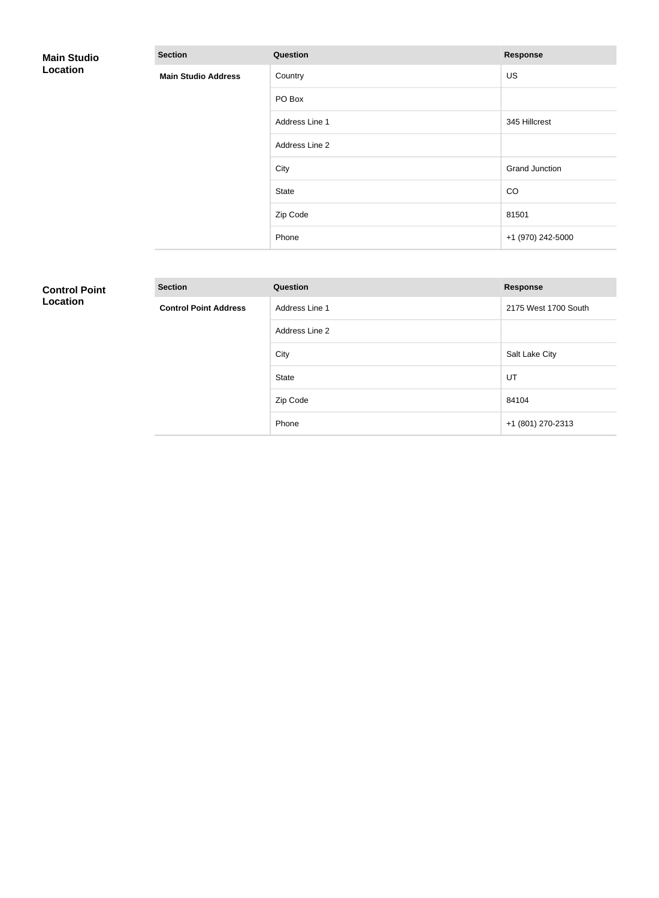| <b>Main Studio</b><br>Location | <b>Section</b>                                         | Question       | <b>Response</b>       |
|--------------------------------|--------------------------------------------------------|----------------|-----------------------|
|                                | <b>Main Studio Address</b><br><b>Contract Contract</b> | Country        | <b>US</b>             |
|                                |                                                        | PO Box         |                       |
|                                |                                                        | Address Line 1 | 345 Hillcrest         |
|                                |                                                        | Address Line 2 |                       |
|                                |                                                        | City           | <b>Grand Junction</b> |
|                                |                                                        | State          | CO                    |
|                                |                                                        | Zip Code       | 81501                 |
|                                |                                                        | Phone          | +1 (970) 242-5000     |

# **Control Point Location**

| <b>Section</b>               | <b>Question</b> | <b>Response</b>      |
|------------------------------|-----------------|----------------------|
| <b>Control Point Address</b> | Address Line 1  | 2175 West 1700 South |
|                              | Address Line 2  |                      |
|                              | City            | Salt Lake City       |
|                              | <b>State</b>    | UT                   |
|                              | Zip Code        | 84104                |
|                              | Phone           | +1 (801) 270-2313    |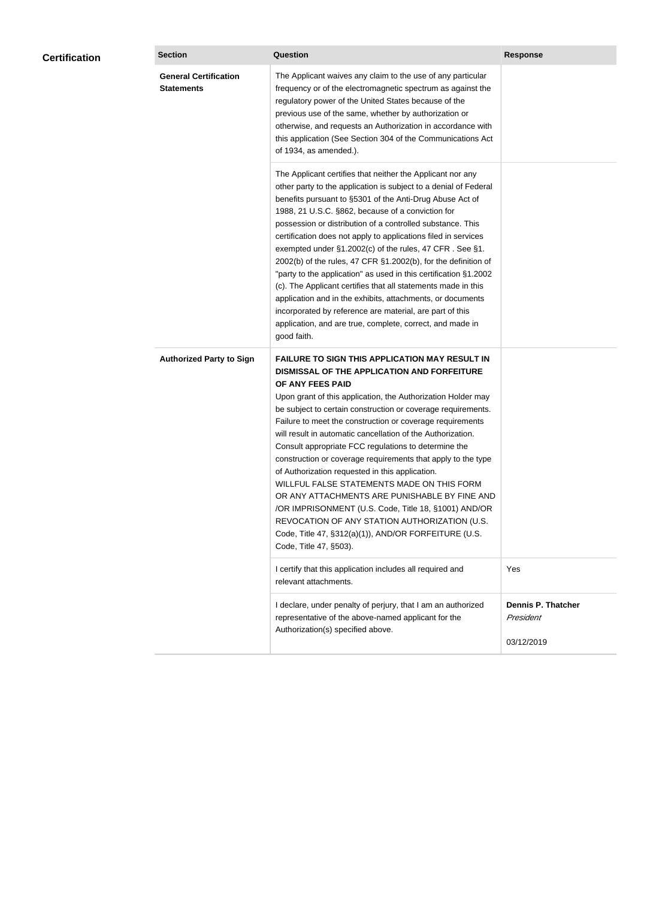| <b>Certification</b> | <b>Section</b>                                    | <b>Question</b>                                                                                                                                                                                                                                                                                                                                                                                                                                                                                                                                                                                                                                                                                                                                                                                                                                           | <b>Response</b>                                      |
|----------------------|---------------------------------------------------|-----------------------------------------------------------------------------------------------------------------------------------------------------------------------------------------------------------------------------------------------------------------------------------------------------------------------------------------------------------------------------------------------------------------------------------------------------------------------------------------------------------------------------------------------------------------------------------------------------------------------------------------------------------------------------------------------------------------------------------------------------------------------------------------------------------------------------------------------------------|------------------------------------------------------|
|                      | <b>General Certification</b><br><b>Statements</b> | The Applicant waives any claim to the use of any particular<br>frequency or of the electromagnetic spectrum as against the<br>regulatory power of the United States because of the<br>previous use of the same, whether by authorization or<br>otherwise, and requests an Authorization in accordance with<br>this application (See Section 304 of the Communications Act<br>of 1934, as amended.).                                                                                                                                                                                                                                                                                                                                                                                                                                                       |                                                      |
|                      |                                                   | The Applicant certifies that neither the Applicant nor any<br>other party to the application is subject to a denial of Federal<br>benefits pursuant to §5301 of the Anti-Drug Abuse Act of<br>1988, 21 U.S.C. §862, because of a conviction for<br>possession or distribution of a controlled substance. This<br>certification does not apply to applications filed in services<br>exempted under §1.2002(c) of the rules, 47 CFR. See §1.<br>2002(b) of the rules, 47 CFR §1.2002(b), for the definition of<br>"party to the application" as used in this certification §1.2002<br>(c). The Applicant certifies that all statements made in this<br>application and in the exhibits, attachments, or documents<br>incorporated by reference are material, are part of this<br>application, and are true, complete, correct, and made in<br>good faith.   |                                                      |
|                      | <b>Authorized Party to Sign</b>                   | <b>FAILURE TO SIGN THIS APPLICATION MAY RESULT IN</b><br>DISMISSAL OF THE APPLICATION AND FORFEITURE<br>OF ANY FEES PAID<br>Upon grant of this application, the Authorization Holder may<br>be subject to certain construction or coverage requirements.<br>Failure to meet the construction or coverage requirements<br>will result in automatic cancellation of the Authorization.<br>Consult appropriate FCC regulations to determine the<br>construction or coverage requirements that apply to the type<br>of Authorization requested in this application.<br>WILLFUL FALSE STATEMENTS MADE ON THIS FORM<br>OR ANY ATTACHMENTS ARE PUNISHABLE BY FINE AND<br>/OR IMPRISONMENT (U.S. Code, Title 18, §1001) AND/OR<br>REVOCATION OF ANY STATION AUTHORIZATION (U.S.<br>Code, Title 47, §312(a)(1)), AND/OR FORFEITURE (U.S.<br>Code, Title 47, §503). |                                                      |
|                      |                                                   | I certify that this application includes all required and<br>relevant attachments.                                                                                                                                                                                                                                                                                                                                                                                                                                                                                                                                                                                                                                                                                                                                                                        | Yes                                                  |
|                      |                                                   | I declare, under penalty of perjury, that I am an authorized<br>representative of the above-named applicant for the<br>Authorization(s) specified above.                                                                                                                                                                                                                                                                                                                                                                                                                                                                                                                                                                                                                                                                                                  | <b>Dennis P. Thatcher</b><br>President<br>03/12/2019 |